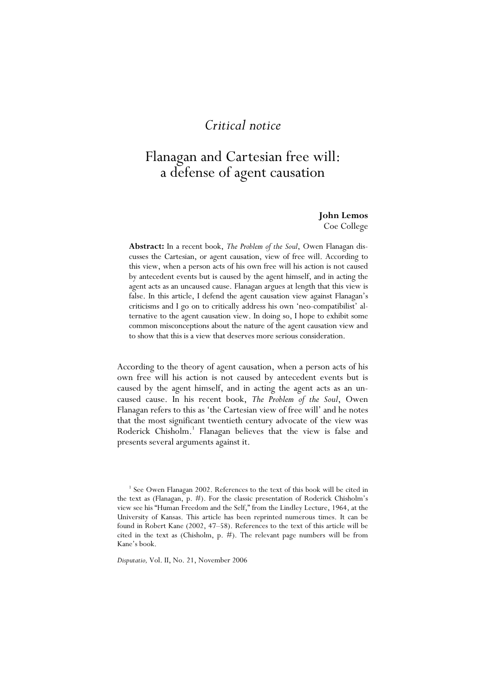## *Critical notice*

# Flanagan and Cartesian free will: a defense of agent causation

#### **John Lemos**  Coe College

**Abstract:** In a recent book, *The Problem of the Soul*, Owen Flanagan discusses the Cartesian, or agent causation, view of free will. According to this view, when a person acts of his own free will his action is not caused by antecedent events but is caused by the agent himself, and in acting the agent acts as an uncaused cause. Flanagan argues at length that this view is false. In this article, I defend the agent causation view against Flanagan's criticisms and I go on to critically address his own 'neo-compatibilist' alternative to the agent causation view. In doing so, I hope to exhibit some common misconceptions about the nature of the agent causation view and to show that this is a view that deserves more serious consideration.

According to the theory of agent causation, when a person acts of his own free will his action is not caused by antecedent events but is caused by the agent himself, and in acting the agent acts as an uncaused cause. In his recent book, *The Problem of the Soul*, Owen Flanagan refers to this as 'the Cartesian view of free will' and he notes that the most significant twentieth century advocate of the view was Roderick Chisholm.<sup>1</sup> Flanagan believes that the view is false and presents several arguments against it.

<sup>1</sup> See Owen Flanagan 2002. References to the text of this book will be cited in the text as (Flanagan, p. #). For the classic presentation of Roderick Chisholm's view see his "Human Freedom and the Self," from the Lindley Lecture, 1964, at the University of Kansas. This article has been reprinted numerous times. It can be found in Robert Kane (2002, 47–58). References to the text of this article will be cited in the text as (Chisholm, p. #). The relevant page numbers will be from Kane's book.

*Disputatio,* Vol. II, No. 21, November 2006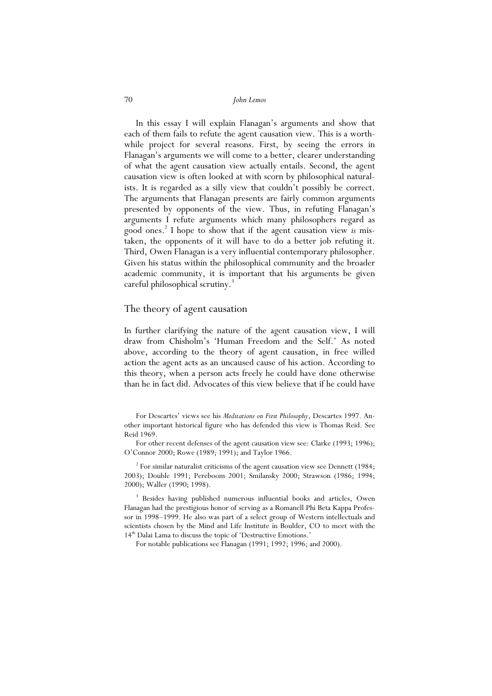In this essay I will explain Flanagan's arguments and show that each of them fails to refute the agent causation view. This is a worthwhile project for several reasons. First, by seeing the errors in Flanagan's arguments we will come to a better, clearer understanding of what the agent causation view actually entails. Second, the agent causation view is often looked at with scorn by philosophical naturalists. It is regarded as a silly view that couldn't possibly be correct. The arguments that Flanagan presents are fairly common arguments presented by opponents of the view. Thus, in refuting Flanagan's arguments I refute arguments which many philosophers regard as good ones.2 I hope to show that if the agent causation view *is* mistaken, the opponents of it will have to do a better job refuting it. Third, Owen Flanagan is a very influential contemporary philosopher. Given his status within the philosophical community and the broader academic community, it is important that his arguments be given careful philosophical scrutiny.<sup>3</sup>

#### The theory of agent causation

In further clarifying the nature of the agent causation view, I will draw from Chisholm's 'Human Freedom and the Self.' As noted above, according to the theory of agent causation, in free willed action the agent acts as an uncaused cause of his action. According to this theory, when a person acts freely he could have done otherwise than he in fact did. Advocates of this view believe that if he could have

For Descartes' views see his *Meditations on First Philosophy*, Descartes 1997. Another important historical figure who has defended this view is Thomas Reid. See Reid 1969.

For other recent defenses of the agent causation view see: Clarke (1993; 1996); O'Connor 2000; Rowe (1989; 1991); and Taylor 1966.

 $2^{2}$  For similar naturalist criticisms of the agent causation view see Dennett (1984; 2003); Double 1991; Pereboom 2001; Smilansky 2000; Strawson (1986; 1994; 2000); Waller (1990; 1998).

<sup>3</sup> Besides having published numerous influential books and articles, Owen Flanagan had the prestigious honor of serving as a Romanell Phi Beta Kappa Professor in 1998–1999. He also was part of a select group of Western intellectuals and scientists chosen by the Mind and Life Institute in Boulder, CO to meet with the 14<sup>th</sup> Dalai Lama to discuss the topic of 'Destructive Emotions.'

For notable publications see Flanagan (1991; 1992; 1996; and 2000).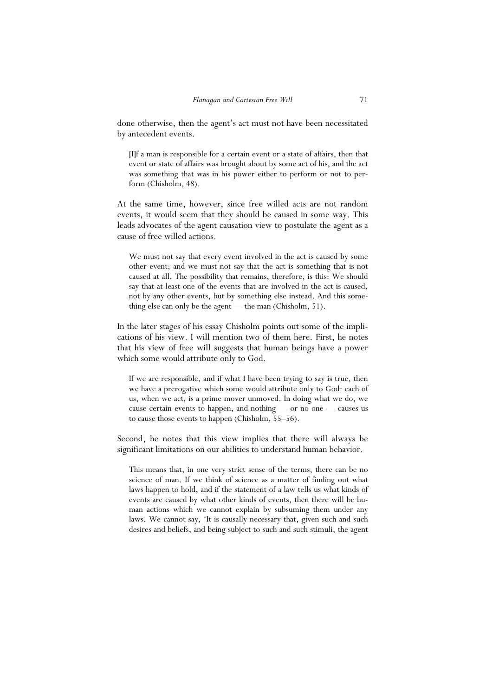done otherwise, then the agent's act must not have been necessitated by antecedent events.

[I]f a man is responsible for a certain event or a state of affairs, then that event or state of affairs was brought about by some act of his, and the act was something that was in his power either to perform or not to perform (Chisholm, 48).

At the same time, however, since free willed acts are not random events, it would seem that they should be caused in some way. This leads advocates of the agent causation view to postulate the agent as a cause of free willed actions.

We must not say that every event involved in the act is caused by some other event; and we must not say that the act is something that is not caused at all. The possibility that remains, therefore, is this: We should say that at least one of the events that are involved in the act is caused, not by any other events, but by something else instead. And this something else can only be the agent — the man (Chisholm, 51).

In the later stages of his essay Chisholm points out some of the implications of his view. I will mention two of them here. First, he notes that his view of free will suggests that human beings have a power which some would attribute only to God.

If we are responsible, and if what I have been trying to say is true, then we have a prerogative which some would attribute only to God: each of us, when we act, is a prime mover unmoved. In doing what we do, we cause certain events to happen, and nothing — or no one — causes us to cause those events to happen (Chisholm, 55–56).

Second, he notes that this view implies that there will always be significant limitations on our abilities to understand human behavior.

This means that, in one very strict sense of the terms, there can be no science of man. If we think of science as a matter of finding out what laws happen to hold, and if the statement of a law tells us what kinds of events are caused by what other kinds of events, then there will be human actions which we cannot explain by subsuming them under any laws. We cannot say, 'It is causally necessary that, given such and such desires and beliefs, and being subject to such and such stimuli, the agent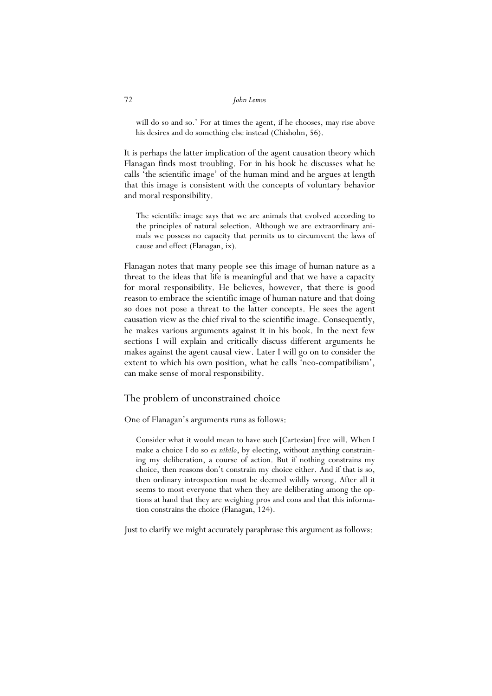will do so and so.' For at times the agent, if he chooses, may rise above his desires and do something else instead (Chisholm, 56).

It is perhaps the latter implication of the agent causation theory which Flanagan finds most troubling. For in his book he discusses what he calls 'the scientific image' of the human mind and he argues at length that this image is consistent with the concepts of voluntary behavior and moral responsibility.

The scientific image says that we are animals that evolved according to the principles of natural selection. Although we are extraordinary animals we possess no capacity that permits us to circumvent the laws of cause and effect (Flanagan, ix).

Flanagan notes that many people see this image of human nature as a threat to the ideas that life is meaningful and that we have a capacity for moral responsibility. He believes, however, that there is good reason to embrace the scientific image of human nature and that doing so does not pose a threat to the latter concepts. He sees the agent causation view as the chief rival to the scientific image. Consequently, he makes various arguments against it in his book. In the next few sections I will explain and critically discuss different arguments he makes against the agent causal view. Later I will go on to consider the extent to which his own position, what he calls 'neo-compatibilism', can make sense of moral responsibility.

#### The problem of unconstrained choice

One of Flanagan's arguments runs as follows:

Consider what it would mean to have such [Cartesian] free will. When I make a choice I do so *ex nihilo*, by electing, without anything constraining my deliberation, a course of action. But if nothing constrains my choice, then reasons don't constrain my choice either. And if that is so, then ordinary introspection must be deemed wildly wrong. After all it seems to most everyone that when they are deliberating among the options at hand that they are weighing pros and cons and that this information constrains the choice (Flanagan, 124).

Just to clarify we might accurately paraphrase this argument as follows: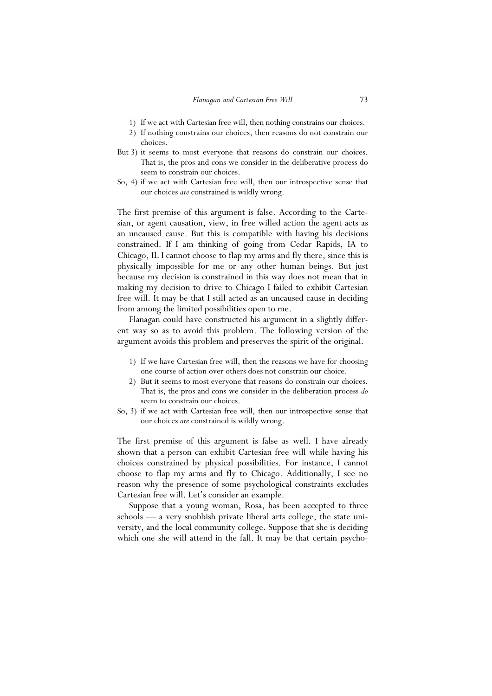- 1) If we act with Cartesian free will, then nothing constrains our choices.
- 2) If nothing constrains our choices, then reasons do not constrain our choices.
- But 3) it seems to most everyone that reasons do constrain our choices. That is, the pros and cons we consider in the deliberative process do seem to constrain our choices.
- So, 4) if we act with Cartesian free will, then our introspective sense that our choices *are* constrained is wildly wrong.

The first premise of this argument is false. According to the Cartesian, or agent causation, view, in free willed action the agent acts as an uncaused cause. But this is compatible with having his decisions constrained. If I am thinking of going from Cedar Rapids, IA to Chicago, IL I cannot choose to flap my arms and fly there, since this is physically impossible for me or any other human beings. But just because my decision is constrained in this way does not mean that in making my decision to drive to Chicago I failed to exhibit Cartesian free will. It may be that I still acted as an uncaused cause in deciding from among the limited possibilities open to me.

 Flanagan could have constructed his argument in a slightly different way so as to avoid this problem. The following version of the argument avoids this problem and preserves the spirit of the original.

- 1) If we have Cartesian free will, then the reasons we have for choosing one course of action over others does not constrain our choice.
- 2) But it seems to most everyone that reasons do constrain our choices. That is, the pros and cons we consider in the deliberation process *do* seem to constrain our choices.
- So, 3) if we act with Cartesian free will, then our introspective sense that our choices *are* constrained is wildly wrong.

The first premise of this argument is false as well. I have already shown that a person can exhibit Cartesian free will while having his choices constrained by physical possibilities. For instance, I cannot choose to flap my arms and fly to Chicago. Additionally, I see no reason why the presence of some psychological constraints excludes Cartesian free will. Let's consider an example.

 Suppose that a young woman, Rosa, has been accepted to three schools — a very snobbish private liberal arts college, the state university, and the local community college. Suppose that she is deciding which one she will attend in the fall. It may be that certain psycho-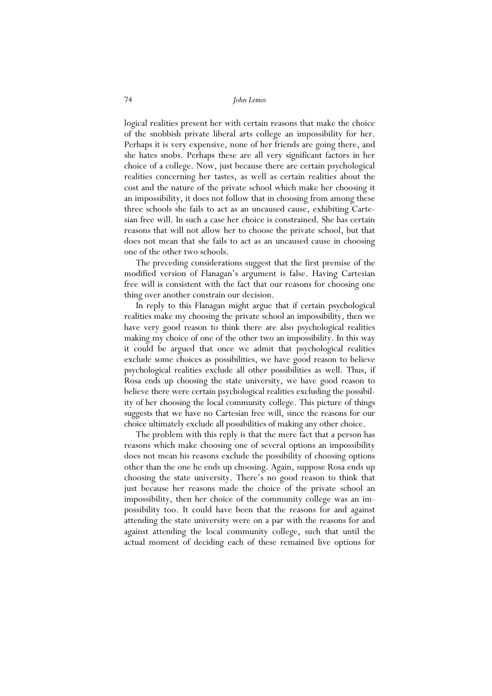logical realities present her with certain reasons that make the choice of the snobbish private liberal arts college an impossibility for her. Perhaps it is very expensive, none of her friends are going there, and she hates snobs. Perhaps these are all very significant factors in her choice of a college. Now, just because there are certain psychological realities concerning her tastes, as well as certain realities about the cost and the nature of the private school which make her choosing it an impossibility, it does not follow that in choosing from among these three schools she fails to act as an uncaused cause, exhibiting Cartesian free will. In such a case her choice is constrained. She has certain reasons that will not allow her to choose the private school, but that does not mean that she fails to act as an uncaused cause in choosing one of the other two schools.

 The preceding considerations suggest that the first premise of the modified version of Flanagan's argument is false. Having Cartesian free will is consistent with the fact that our reasons for choosing one thing over another constrain our decision.

 In reply to this Flanagan might argue that if certain psychological realities make my choosing the private school an impossibility, then we have very good reason to think there are also psychological realities making my choice of one of the other two an impossibility. In this way it could be argued that once we admit that psychological realities exclude some choices as possibilities, we have good reason to believe psychological realities exclude all other possibilities as well. Thus, if Rosa ends up choosing the state university, we have good reason to believe there were certain psychological realities excluding the possibility of her choosing the local community college. This picture of things suggests that we have no Cartesian free will, since the reasons for our choice ultimately exclude all possibilities of making any other choice.

 The problem with this reply is that the mere fact that a person has reasons which make choosing one of several options an impossibility does not mean his reasons exclude the possibility of choosing options other than the one he ends up choosing. Again, suppose Rosa ends up choosing the state university. There's no good reason to think that just because her reasons made the choice of the private school an impossibility, then her choice of the community college was an impossibility too. It could have been that the reasons for and against attending the state university were on a par with the reasons for and against attending the local community college, such that until the actual moment of deciding each of these remained live options for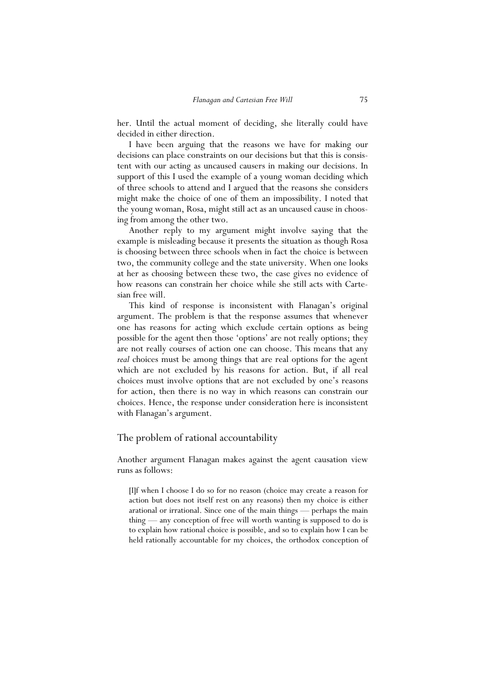her. Until the actual moment of deciding, she literally could have decided in either direction.

 I have been arguing that the reasons we have for making our decisions can place constraints on our decisions but that this is consistent with our acting as uncaused causers in making our decisions. In support of this I used the example of a young woman deciding which of three schools to attend and I argued that the reasons she considers might make the choice of one of them an impossibility. I noted that the young woman, Rosa, might still act as an uncaused cause in choosing from among the other two.

 Another reply to my argument might involve saying that the example is misleading because it presents the situation as though Rosa is choosing between three schools when in fact the choice is between two, the community college and the state university. When one looks at her as choosing between these two, the case gives no evidence of how reasons can constrain her choice while she still acts with Cartesian free will.

 This kind of response is inconsistent with Flanagan's original argument. The problem is that the response assumes that whenever one has reasons for acting which exclude certain options as being possible for the agent then those 'options' are not really options; they are not really courses of action one can choose. This means that any *real* choices must be among things that are real options for the agent which are not excluded by his reasons for action. But, if all real choices must involve options that are not excluded by one's reasons for action, then there is no way in which reasons can constrain our choices. Hence, the response under consideration here is inconsistent with Flanagan's argument.

#### The problem of rational accountability

Another argument Flanagan makes against the agent causation view runs as follows:

[I]f when I choose I do so for no reason (choice may create a reason for action but does not itself rest on any reasons) then my choice is either arational or irrational. Since one of the main things — perhaps the main thing — any conception of free will worth wanting is supposed to do is to explain how rational choice is possible, and so to explain how I can be held rationally accountable for my choices, the orthodox conception of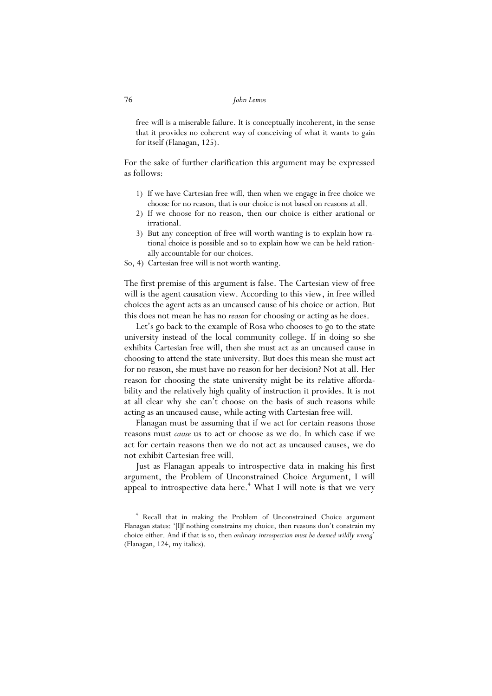free will is a miserable failure. It is conceptually incoherent, in the sense that it provides no coherent way of conceiving of what it wants to gain for itself (Flanagan, 125).

For the sake of further clarification this argument may be expressed as follows:

- 1) If we have Cartesian free will, then when we engage in free choice we choose for no reason, that is our choice is not based on reasons at all.
- 2) If we choose for no reason, then our choice is either arational or irrational.
- 3) But any conception of free will worth wanting is to explain how rational choice is possible and so to explain how we can be held rationally accountable for our choices.
- So, 4) Cartesian free will is not worth wanting.

The first premise of this argument is false. The Cartesian view of free will is the agent causation view. According to this view, in free willed choices the agent acts as an uncaused cause of his choice or action. But this does not mean he has no *reason* for choosing or acting as he does.

 Let's go back to the example of Rosa who chooses to go to the state university instead of the local community college. If in doing so she exhibits Cartesian free will, then she must act as an uncaused cause in choosing to attend the state university. But does this mean she must act for no reason, she must have no reason for her decision? Not at all. Her reason for choosing the state university might be its relative affordability and the relatively high quality of instruction it provides. It is not at all clear why she can't choose on the basis of such reasons while acting as an uncaused cause, while acting with Cartesian free will.

 Flanagan must be assuming that if we act for certain reasons those reasons must *cause* us to act or choose as we do. In which case if we act for certain reasons then we do not act as uncaused causes, we do not exhibit Cartesian free will.

 Just as Flanagan appeals to introspective data in making his first argument, the Problem of Unconstrained Choice Argument, I will appeal to introspective data here.<sup>4</sup> What I will note is that we very

<sup>4</sup> Recall that in making the Problem of Unconstrained Choice argument Flanagan states: '[I]f nothing constrains my choice, then reasons don't constrain my choice either. And if that is so, then *ordinary introspection must be deemed wildly wrong*' (Flanagan, 124, my italics).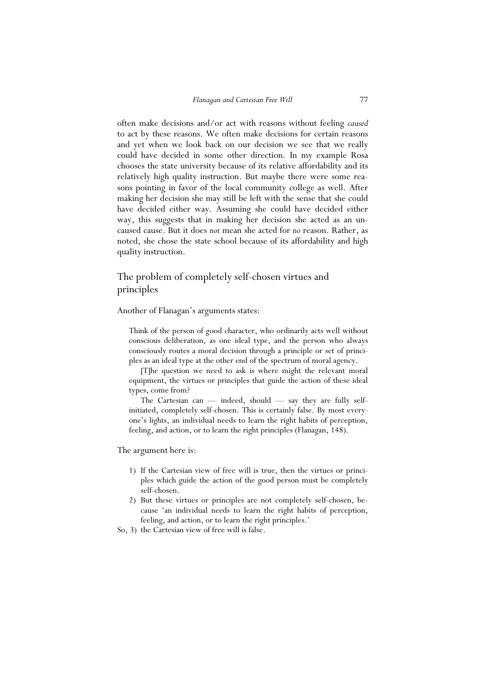often make decisions and/or act with reasons without feeling *caused* to act by these reasons. We often make decisions for certain reasons and yet when we look back on our decision we see that we really could have decided in some other direction. In my example Rosa chooses the state university because of its relative affordability and its relatively high quality instruction. But maybe there were some reasons pointing in favor of the local community college as well. After making her decision she may still be left with the sense that she could have decided either way. Assuming she could have decided either way, this suggests that in making her decision she acted as an uncaused cause. But it does *not* mean she acted for *no* reason. Rather, as noted, she chose the state school because of its affordability and high quality instruction.

## The problem of completely self-chosen virtues and principles

Another of Flanagan's arguments states:

Think of the person of good character, who ordinarily acts well without conscious deliberation, as one ideal type, and the person who always consciously routes a moral decision through a principle or set of principles as an ideal type at the other end of the spectrum of moral agency.

 [T]he question we need to ask is where might the relevant moral equipment, the virtues or principles that guide the action of these ideal types, come from?

 The Cartesian can — indeed, should — say they are fully selfinitiated, completely self-chosen. This is certainly false. By most everyone's lights, an individual needs to learn the right habits of perception, feeling, and action, or to learn the right principles (Flanagan, 148).

The argument here is:

- 1) If the Cartesian view of free will is true, then the virtues or principles which guide the action of the good person must be completely self-chosen.
- 2) But these virtues or principles are not completely self-chosen, because 'an individual needs to learn the right habits of perception, feeling, and action, or to learn the right principles.'
- So, 3) the Cartesian view of free will is false.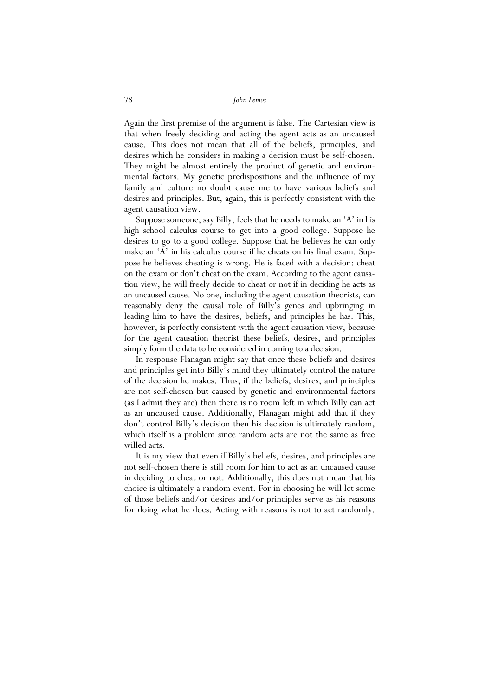Again the first premise of the argument is false. The Cartesian view is that when freely deciding and acting the agent acts as an uncaused cause. This does not mean that all of the beliefs, principles, and desires which he considers in making a decision must be self-chosen. They might be almost entirely the product of genetic and environmental factors. My genetic predispositions and the influence of my family and culture no doubt cause me to have various beliefs and desires and principles. But, again, this is perfectly consistent with the agent causation view.

 Suppose someone, say Billy, feels that he needs to make an 'A' in his high school calculus course to get into a good college. Suppose he desires to go to a good college. Suppose that he believes he can only make an 'A' in his calculus course if he cheats on his final exam. Suppose he believes cheating is wrong. He is faced with a decision: cheat on the exam or don't cheat on the exam. According to the agent causation view, he will freely decide to cheat or not if in deciding he acts as an uncaused cause. No one, including the agent causation theorists, can reasonably deny the causal role of Billy's genes and upbringing in leading him to have the desires, beliefs, and principles he has. This, however, is perfectly consistent with the agent causation view, because for the agent causation theorist these beliefs, desires, and principles simply form the data to be considered in coming to a decision.

 In response Flanagan might say that once these beliefs and desires and principles get into Billy's mind they ultimately control the nature of the decision he makes. Thus, if the beliefs, desires, and principles are not self-chosen but caused by genetic and environmental factors (as I admit they are) then there is no room left in which Billy can act as an uncaused cause. Additionally, Flanagan might add that if they don't control Billy's decision then his decision is ultimately random, which itself is a problem since random acts are not the same as free willed acts.

 It is my view that even if Billy's beliefs, desires, and principles are not self-chosen there is still room for him to act as an uncaused cause in deciding to cheat or not. Additionally, this does not mean that his choice is ultimately a random event. For in choosing he will let some of those beliefs and/or desires and/or principles serve as his reasons for doing what he does. Acting with reasons is not to act randomly.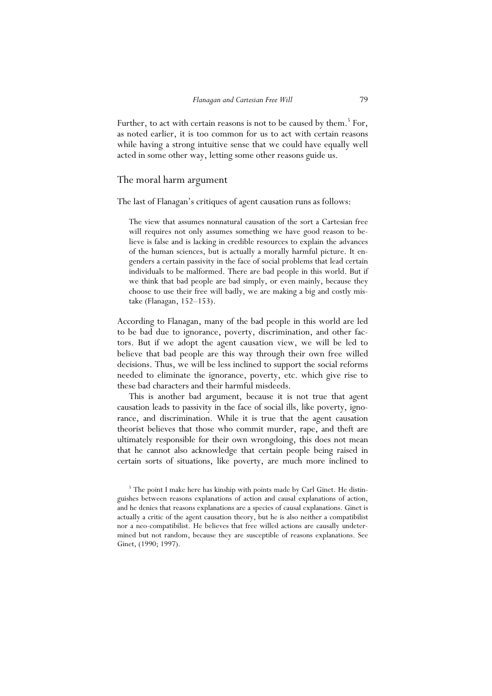Further, to act with certain reasons is not to be caused by them.<sup>5</sup> For, as noted earlier, it is too common for us to act with certain reasons while having a strong intuitive sense that we could have equally well acted in some other way, letting some other reasons guide us.

#### The moral harm argument

The last of Flanagan's critiques of agent causation runs as follows:

The view that assumes nonnatural causation of the sort a Cartesian free will requires not only assumes something we have good reason to believe is false and is lacking in credible resources to explain the advances of the human sciences, but is actually a morally harmful picture. It engenders a certain passivity in the face of social problems that lead certain individuals to be malformed. There are bad people in this world. But if we think that bad people are bad simply, or even mainly, because they choose to use their free will badly, we are making a big and costly mistake (Flanagan, 152–153).

According to Flanagan, many of the bad people in this world are led to be bad due to ignorance, poverty, discrimination, and other factors. But if we adopt the agent causation view, we will be led to believe that bad people are this way through their own free willed decisions. Thus, we will be less inclined to support the social reforms needed to eliminate the ignorance, poverty, etc. which give rise to these bad characters and their harmful misdeeds.

 This is another bad argument, because it is not true that agent causation leads to passivity in the face of social ills, like poverty, ignorance, and discrimination. While it is true that the agent causation theorist believes that those who commit murder, rape, and theft are ultimately responsible for their own wrongdoing, this does not mean that he cannot also acknowledge that certain people being raised in certain sorts of situations, like poverty, are much more inclined to

<sup>&</sup>lt;sup>5</sup> The point I make here has kinship with points made by Carl Ginet. He distinguishes between reasons explanations of action and causal explanations of action, and he denies that reasons explanations are a species of causal explanations. Ginet is actually a critic of the agent causation theory, but he is also neither a compatibilist nor a neo-compatibilist. He believes that free willed actions are causally undetermined but not random, because they are susceptible of reasons explanations. See Ginet, (1990; 1997).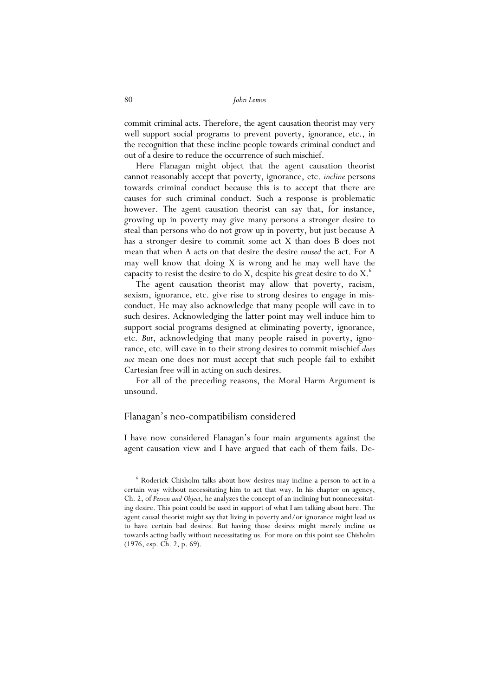commit criminal acts. Therefore, the agent causation theorist may very well support social programs to prevent poverty, ignorance, etc., in the recognition that these incline people towards criminal conduct and out of a desire to reduce the occurrence of such mischief.

 Here Flanagan might object that the agent causation theorist cannot reasonably accept that poverty, ignorance, etc. *incline* persons towards criminal conduct because this is to accept that there are causes for such criminal conduct. Such a response is problematic however. The agent causation theorist can say that, for instance, growing up in poverty may give many persons a stronger desire to steal than persons who do not grow up in poverty, but just because A has a stronger desire to commit some act X than does B does not mean that when A acts on that desire the desire *caused* the act. For A may well know that doing X is wrong and he may well have the capacity to resist the desire to do X, despite his great desire to do X.<sup>6</sup>

 The agent causation theorist may allow that poverty, racism, sexism, ignorance, etc. give rise to strong desires to engage in misconduct. He may also acknowledge that many people will cave in to such desires. Acknowledging the latter point may well induce him to support social programs designed at eliminating poverty, ignorance, etc. *But*, acknowledging that many people raised in poverty, ignorance, etc. will cave in to their strong desires to commit mischief *does not* mean one does nor must accept that such people fail to exhibit Cartesian free will in acting on such desires.

 For all of the preceding reasons, the Moral Harm Argument is unsound.

#### Flanagan's neo-compatibilism considered

I have now considered Flanagan's four main arguments against the agent causation view and I have argued that each of them fails. De-

<sup>6</sup> Roderick Chisholm talks about how desires may incline a person to act in a certain way without necessitating him to act that way. In his chapter on agency, Ch. 2, of *Person and Object*, he analyzes the concept of an inclining but nonnecessitating desire. This point could be used in support of what I am talking about here. The agent causal theorist might say that living in poverty and/or ignorance might lead us to have certain bad desires. But having those desires might merely incline us towards acting badly without necessitating us. For more on this point see Chisholm (1976, esp. Ch. 2, p. 69).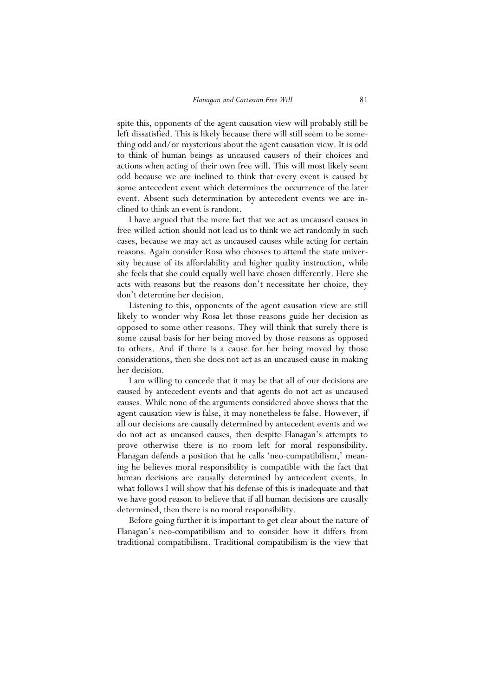spite this, opponents of the agent causation view will probably still be left dissatisfied. This is likely because there will still seem to be something odd and/or mysterious about the agent causation view. It is odd to think of human beings as uncaused causers of their choices and actions when acting of their own free will. This will most likely seem odd because we are inclined to think that every event is caused by some antecedent event which determines the occurrence of the later event. Absent such determination by antecedent events we are inclined to think an event is random.

 I have argued that the mere fact that we act as uncaused causes in free willed action should not lead us to think we act randomly in such cases, because we may act as uncaused causes while acting for certain reasons. Again consider Rosa who chooses to attend the state university because of its affordability and higher quality instruction, while she feels that she could equally well have chosen differently. Here she acts with reasons but the reasons don't necessitate her choice, they don't determine her decision.

 Listening to this, opponents of the agent causation view are still likely to wonder why Rosa let those reasons guide her decision as opposed to some other reasons. They will think that surely there is some causal basis for her being moved by those reasons as opposed to others. And if there is a cause for her being moved by those considerations, then she does not act as an uncaused cause in making her decision.

 I am willing to concede that it may be that all of our decisions are caused by antecedent events and that agents do not act as uncaused causes. While none of the arguments considered above shows that the agent causation view is false, it may nonetheless *be* false. However, if all our decisions are causally determined by antecedent events and we do not act as uncaused causes, then despite Flanagan's attempts to prove otherwise there is no room left for moral responsibility. Flanagan defends a position that he calls 'neo-compatibilism,' meaning he believes moral responsibility is compatible with the fact that human decisions are causally determined by antecedent events. In what follows I will show that his defense of this is inadequate and that we have good reason to believe that if all human decisions are causally determined, then there is no moral responsibility.

 Before going further it is important to get clear about the nature of Flanagan's neo-compatibilism and to consider how it differs from traditional compatibilism. Traditional compatibilism is the view that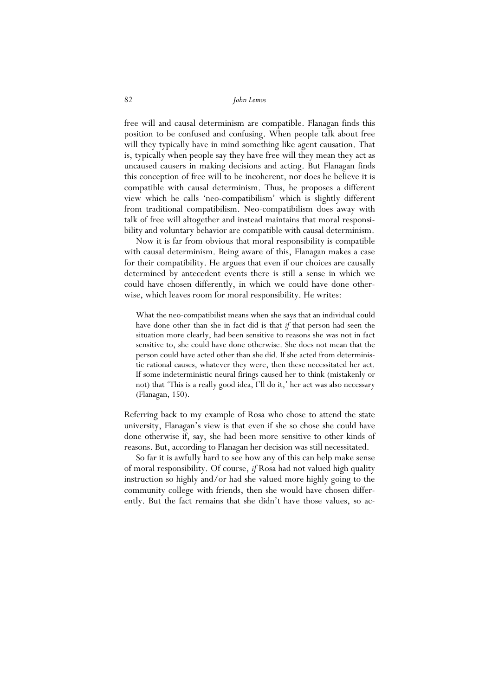free will and causal determinism are compatible. Flanagan finds this position to be confused and confusing. When people talk about free will they typically have in mind something like agent causation. That is, typically when people say they have free will they mean they act as uncaused causers in making decisions and acting. But Flanagan finds this conception of free will to be incoherent, nor does he believe it is compatible with causal determinism. Thus, he proposes a different view which he calls 'neo-compatibilism' which is slightly different from traditional compatibilism. Neo-compatibilism does away with talk of free will altogether and instead maintains that moral responsibility and voluntary behavior are compatible with causal determinism.

 Now it is far from obvious that moral responsibility is compatible with causal determinism. Being aware of this, Flanagan makes a case for their compatibility. He argues that even if our choices are causally determined by antecedent events there is still a sense in which we could have chosen differently, in which we could have done otherwise, which leaves room for moral responsibility. He writes:

What the neo-compatibilist means when she says that an individual could have done other than she in fact did is that *if* that person had seen the situation more clearly, had been sensitive to reasons she was not in fact sensitive to, she could have done otherwise. She does not mean that the person could have acted other than she did. If she acted from deterministic rational causes, whatever they were, then these necessitated her act. If some indeterministic neural firings caused her to think (mistakenly or not) that 'This is a really good idea, I'll do it,' her act was also necessary (Flanagan, 150).

Referring back to my example of Rosa who chose to attend the state university, Flanagan's view is that even if she so chose she could have done otherwise if, say, she had been more sensitive to other kinds of reasons. But, according to Flanagan her decision was still necessitated.

 So far it is awfully hard to see how any of this can help make sense of moral responsibility. Of course, *if* Rosa had not valued high quality instruction so highly and/or had she valued more highly going to the community college with friends, then she would have chosen differently. But the fact remains that she didn't have those values, so ac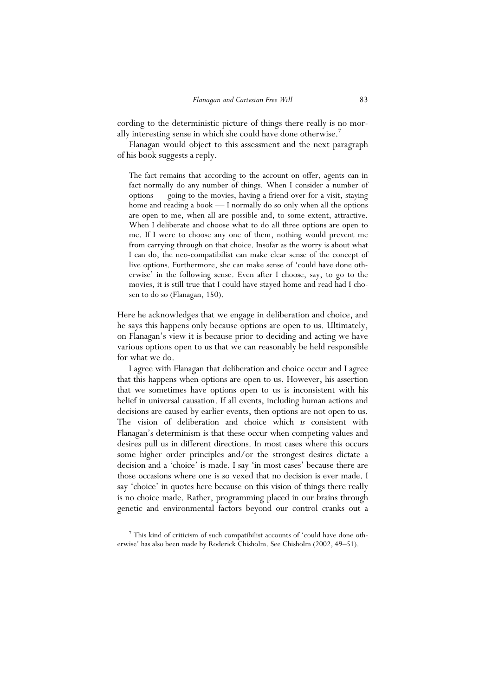cording to the deterministic picture of things there really is no morally interesting sense in which she could have done otherwise.<sup>7</sup>

 Flanagan would object to this assessment and the next paragraph of his book suggests a reply.

The fact remains that according to the account on offer, agents can in fact normally do any number of things. When I consider a number of options — going to the movies, having a friend over for a visit, staying home and reading a book — I normally do so only when all the options are open to me, when all are possible and, to some extent, attractive. When I deliberate and choose what to do all three options are open to me. If I were to choose any one of them, nothing would prevent me from carrying through on that choice. Insofar as the worry is about what I can do, the neo-compatibilist can make clear sense of the concept of live options. Furthermore, she can make sense of 'could have done otherwise' in the following sense. Even after I choose, say, to go to the movies, it is still true that I could have stayed home and read had I chosen to do so (Flanagan, 150).

Here he acknowledges that we engage in deliberation and choice, and he says this happens only because options are open to us. Ultimately, on Flanagan's view it is because prior to deciding and acting we have various options open to us that we can reasonably be held responsible for what we do.

 I agree with Flanagan that deliberation and choice occur and I agree that this happens when options are open to us. However, his assertion that we sometimes have options open to us is inconsistent with his belief in universal causation. If all events, including human actions and decisions are caused by earlier events, then options are not open to us. The vision of deliberation and choice which *is* consistent with Flanagan's determinism is that these occur when competing values and desires pull us in different directions. In most cases where this occurs some higher order principles and/or the strongest desires dictate a decision and a 'choice' is made. I say 'in most cases' because there are those occasions where one is so vexed that no decision is ever made. I say 'choice' in quotes here because on this vision of things there really is no choice made. Rather, programming placed in our brains through genetic and environmental factors beyond our control cranks out a

<sup>7</sup> This kind of criticism of such compatibilist accounts of 'could have done otherwise' has also been made by Roderick Chisholm. See Chisholm (2002, 49–51).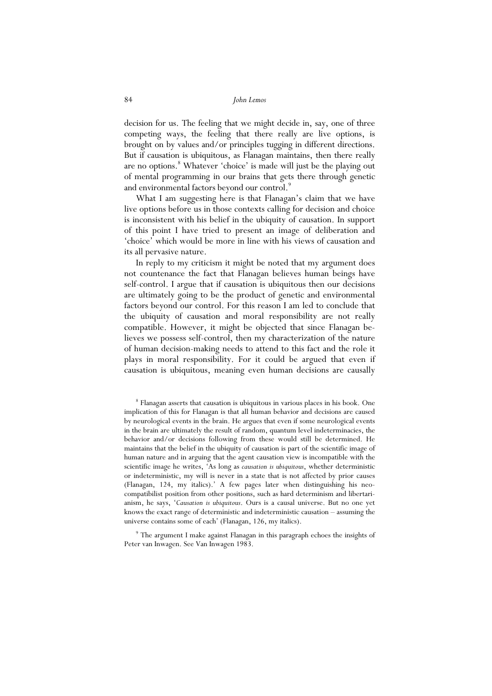decision for us. The feeling that we might decide in, say, one of three competing ways, the feeling that there really are live options, is brought on by values and/or principles tugging in different directions. But if causation is ubiquitous, as Flanagan maintains, then there really are no options.<sup>8</sup> Whatever 'choice' is made will just be the playing out of mental programming in our brains that gets there through genetic and environmental factors beyond our control.<sup>9</sup>

 What I am suggesting here is that Flanagan's claim that we have live options before us in those contexts calling for decision and choice is inconsistent with his belief in the ubiquity of causation. In support of this point I have tried to present an image of deliberation and 'choice' which would be more in line with his views of causation and its all pervasive nature.

 In reply to my criticism it might be noted that my argument does not countenance the fact that Flanagan believes human beings have self-control. I argue that if causation is ubiquitous then our decisions are ultimately going to be the product of genetic and environmental factors beyond our control. For this reason I am led to conclude that the ubiquity of causation and moral responsibility are not really compatible. However, it might be objected that since Flanagan believes we possess self-control, then my characterization of the nature of human decision-making needs to attend to this fact and the role it plays in moral responsibility. For it could be argued that even if causation is ubiquitous, meaning even human decisions are causally

<sup>9</sup> The argument I make against Flanagan in this paragraph echoes the insights of Peter van Inwagen. See Van Inwagen 1983.

<sup>&</sup>lt;sup>8</sup> Flanagan asserts that causation is ubiquitous in various places in his book. One implication of this for Flanagan is that all human behavior and decisions are caused by neurological events in the brain. He argues that even if some neurological events in the brain are ultimately the result of random, quantum level indeterminacies, the behavior and/or decisions following from these would still be determined. He maintains that the belief in the ubiquity of causation is part of the scientific image of human nature and in arguing that the agent causation view is incompatible with the scientific image he writes, 'As long as *causation is ubiquitous*, whether deterministic or indeterministic, my will is never in a state that is not affected by prior causes (Flanagan, 124, my italics).' A few pages later when distinguishing his neocompatibilist position from other positions, such as hard determinism and libertarianism, he says, '*Causation is ubiquitous*. Ours is a causal universe. But no one yet knows the exact range of deterministic and indeterministic causation – assuming the universe contains some of each' (Flanagan, 126, my italics).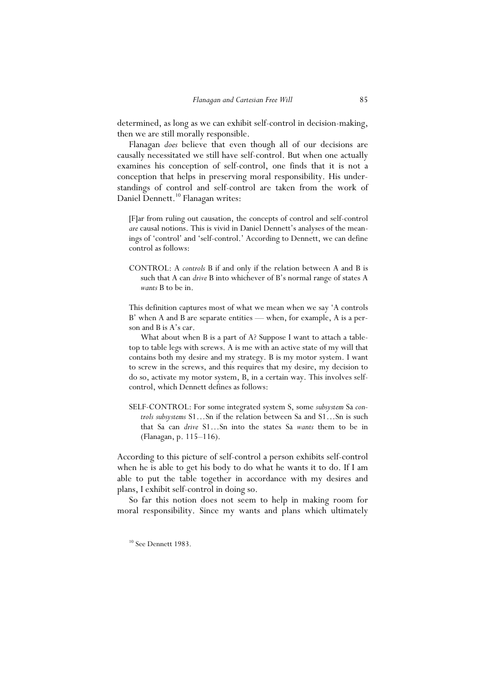determined, as long as we can exhibit self-control in decision-making, then we are still morally responsible.

 Flanagan *does* believe that even though all of our decisions are causally necessitated we still have self-control. But when one actually examines his conception of self-control, one finds that it is not a conception that helps in preserving moral responsibility. His understandings of control and self-control are taken from the work of Daniel Dennett.<sup>10</sup> Flanagan writes:

[F]ar from ruling out causation, the concepts of control and self-control *are* causal notions. This is vivid in Daniel Dennett's analyses of the meanings of 'control' and 'self-control.' According to Dennett, we can define control as follows:

CONTROL: A *controls* B if and only if the relation between A and B is such that A can *drive* B into whichever of B's normal range of states A *wants* B to be in.

This definition captures most of what we mean when we say 'A controls B' when A and B are separate entities — when, for example, A is a person and B is A's car.

 What about when B is a part of A? Suppose I want to attach a tabletop to table legs with screws. A is me with an active state of my will that contains both my desire and my strategy. B is my motor system. I want to screw in the screws, and this requires that my desire, my decision to do so, activate my motor system, B, in a certain way. This involves selfcontrol, which Dennett defines as follows:

SELF-CONTROL: For some integrated system S, some *subsystem* Sa *controls subsystems* S1…Sn if the relation between Sa and S1…Sn is such that Sa can *drive* S1…Sn into the states Sa *wants* them to be in (Flanagan, p. 115–116).

According to this picture of self-control a person exhibits self-control when he is able to get his body to do what he wants it to do. If I am able to put the table together in accordance with my desires and plans, I exhibit self-control in doing so.

 So far this notion does not seem to help in making room for moral responsibility. Since my wants and plans which ultimately

<sup>10</sup> See Dennett 1983.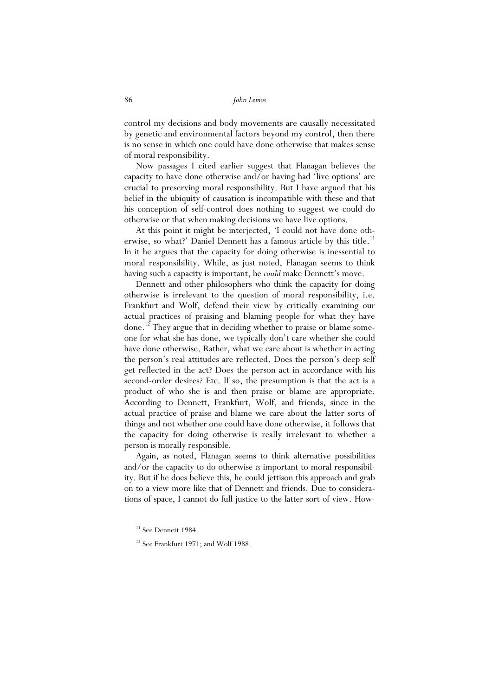control my decisions and body movements are causally necessitated by genetic and environmental factors beyond my control, then there is no sense in which one could have done otherwise that makes sense of moral responsibility.

 Now passages I cited earlier suggest that Flanagan believes the capacity to have done otherwise and/or having had 'live options' are crucial to preserving moral responsibility. But I have argued that his belief in the ubiquity of causation is incompatible with these and that his conception of self-control does nothing to suggest we could do otherwise or that when making decisions we have live options.

 At this point it might be interjected, 'I could not have done otherwise, so what?' Daniel Dennett has a famous article by this title.<sup>11</sup> In it he argues that the capacity for doing otherwise is inessential to moral responsibility. While, as just noted, Flanagan seems to think having such a capacity is important, he *could* make Dennett's move.

 Dennett and other philosophers who think the capacity for doing otherwise is irrelevant to the question of moral responsibility, i.e. Frankfurt and Wolf, defend their view by critically examining our actual practices of praising and blaming people for what they have done.<sup>12</sup> They argue that in deciding whether to praise or blame someone for what she has done, we typically don't care whether she could have done otherwise. Rather, what we care about is whether in acting the person's real attitudes are reflected. Does the person's deep self get reflected in the act? Does the person act in accordance with his second-order desires? Etc. If so, the presumption is that the act is a product of who she is and then praise or blame are appropriate. According to Dennett, Frankfurt, Wolf, and friends, since in the actual practice of praise and blame we care about the latter sorts of things and not whether one could have done otherwise, it follows that the capacity for doing otherwise is really irrelevant to whether a person is morally responsible.

 Again, as noted, Flanagan seems to think alternative possibilities and/or the capacity to do otherwise *is* important to moral responsibility. But if he does believe this, he could jettison this approach and grab on to a view more like that of Dennett and friends. Due to considerations of space, I cannot do full justice to the latter sort of view. How-

 $11$  See Dennett 1984.

<sup>&</sup>lt;sup>12</sup> See Frankfurt 1971; and Wolf 1988.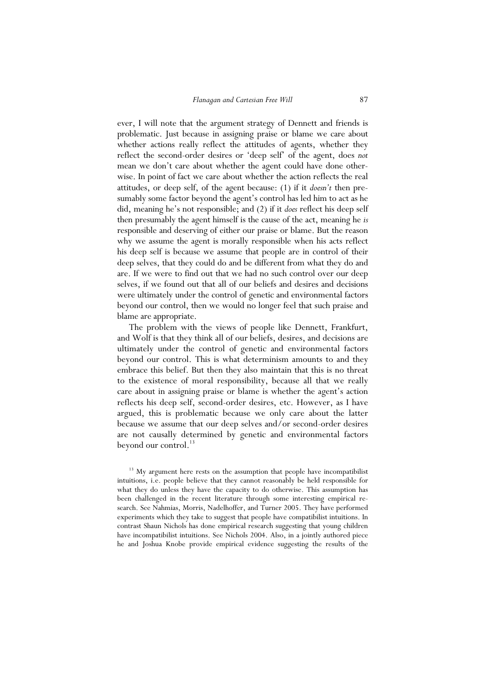ever, I will note that the argument strategy of Dennett and friends is problematic. Just because in assigning praise or blame we care about whether actions really reflect the attitudes of agents, whether they reflect the second-order desires or 'deep self' of the agent, does *not* mean we don't care about whether the agent could have done otherwise. In point of fact we care about whether the action reflects the real attitudes, or deep self, of the agent because: (1) if it *doesn't* then presumably some factor beyond the agent's control has led him to act as he did, meaning he's not responsible; and (2) if it *does* reflect his deep self then presumably the agent himself is the cause of the act, meaning he *is* responsible and deserving of either our praise or blame. But the reason why we assume the agent is morally responsible when his acts reflect his deep self is because we assume that people are in control of their deep selves, that they could do and be different from what they do and are. If we were to find out that we had no such control over our deep selves, if we found out that all of our beliefs and desires and decisions were ultimately under the control of genetic and environmental factors beyond our control, then we would no longer feel that such praise and blame are appropriate.

 The problem with the views of people like Dennett, Frankfurt, and Wolf is that they think all of our beliefs, desires, and decisions are ultimately under the control of genetic and environmental factors beyond our control. This is what determinism amounts to and they embrace this belief. But then they also maintain that this is no threat to the existence of moral responsibility, because all that we really care about in assigning praise or blame is whether the agent's action reflects his deep self, second-order desires, etc. However, as I have argued, this is problematic because we only care about the latter because we assume that our deep selves and/or second-order desires are not causally determined by genetic and environmental factors beyond our control.<sup>13</sup>

<sup>13</sup> My argument here rests on the assumption that people have incompatibilist intuitions, i.e. people believe that they cannot reasonably be held responsible for what they do unless they have the capacity to do otherwise. This assumption has been challenged in the recent literature through some interesting empirical research. See Nahmias, Morris, Nadelhoffer, and Turner 2005. They have performed experiments which they take to suggest that people have compatibilist intuitions. In contrast Shaun Nichols has done empirical research suggesting that young children have incompatibilist intuitions. See Nichols 2004. Also, in a jointly authored piece he and Joshua Knobe provide empirical evidence suggesting the results of the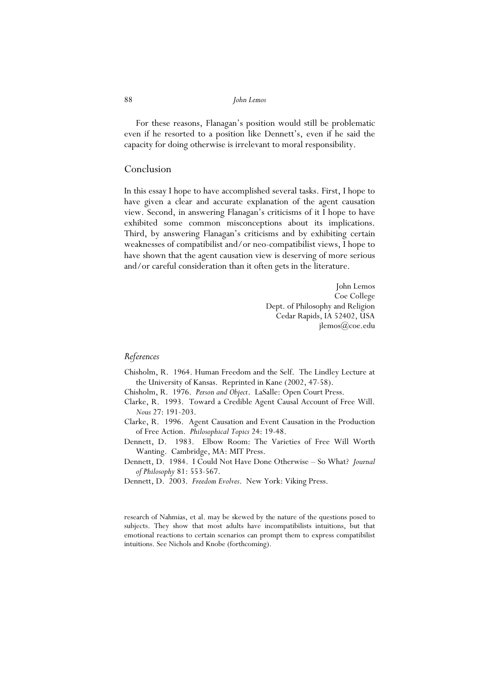For these reasons, Flanagan's position would still be problematic even if he resorted to a position like Dennett's, even if he said the capacity for doing otherwise is irrelevant to moral responsibility.

#### Conclusion

In this essay I hope to have accomplished several tasks. First, I hope to have given a clear and accurate explanation of the agent causation view. Second, in answering Flanagan's criticisms of it I hope to have exhibited some common misconceptions about its implications. Third, by answering Flanagan's criticisms and by exhibiting certain weaknesses of compatibilist and/or neo-compatibilist views, I hope to have shown that the agent causation view is deserving of more serious and/or careful consideration than it often gets in the literature.

> John Lemos Coe College Dept. of Philosophy and Religion Cedar Rapids, IA 52402, USA jlemos(a)coe.edu

#### *References*

- Chisholm, R. 1964. Human Freedom and the Self. The Lindley Lecture at the University of Kansas. Reprinted in Kane (2002, 47-58).
- Chisholm, R. 1976. *Person and Object*. LaSalle: Open Court Press.
- Clarke, R. 1993. Toward a Credible Agent Causal Account of Free Will. *Nous* 27: 191-203.
- Clarke, R. 1996. Agent Causation and Event Causation in the Production of Free Action. *Philosophical Topics* 24: 19-48.
- Dennett, D. 1983. Elbow Room: The Varieties of Free Will Worth Wanting. Cambridge, MA: MIT Press.
- Dennett, D. 1984. I Could Not Have Done Otherwise So What? *Journal of Philosophy* 81: 553-567.
- Dennett, D. 2003. *Freedom Evolves*. New York: Viking Press.

research of Nahmias, et al. may be skewed by the nature of the questions posed to subjects. They show that most adults have incompatibilists intuitions, but that emotional reactions to certain scenarios can prompt them to express compatibilist intuitions. See Nichols and Knobe (forthcoming).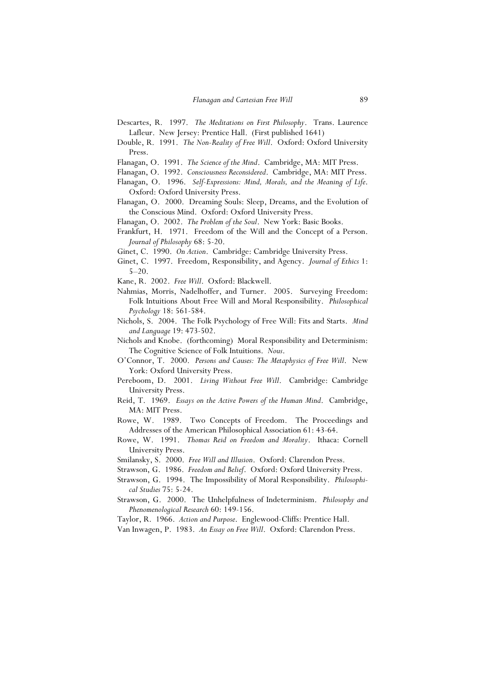- Descartes, R. 1997. *The Meditations on First Philosophy*. Trans. Laurence Lafleur. New Jersey: Prentice Hall. (First published 1641)
- Double, R. 1991. *The Non-Reality of Free Will*. Oxford: Oxford University Press.
- Flanagan, O. 1991. *The Science of the Mind*. Cambridge, MA: MIT Press.
- Flanagan, O. 1992. *Consciousness Reconsidered*. Cambridge, MA: MIT Press.
- Flanagan, O. 1996. *Self-Expressions: Mind, Morals, and the Meaning of Life*. Oxford: Oxford University Press.
- Flanagan, O. 2000. Dreaming Souls: Sleep, Dreams, and the Evolution of the Conscious Mind. Oxford: Oxford University Press.
- Flanagan, O. 2002. *The Problem of the Soul*. New York: Basic Books.
- Frankfurt, H. 1971. Freedom of the Will and the Concept of a Person. *Journal of Philosophy* 68: 5-20.
- Ginet, C. 1990. *On Action*. Cambridge: Cambridge University Press.
- Ginet, C. 1997. Freedom, Responsibility, and Agency. *Journal of Ethics* 1: 5–20.
- Kane, R. 2002. *Free Will*. Oxford: Blackwell.
- Nahmias, Morris, Nadelhoffer, and Turner. 2005. Surveying Freedom: Folk Intuitions About Free Will and Moral Responsibility. *Philosophical Psychology* 18: 561-584.
- Nichols, S. 2004. The Folk Psychology of Free Will: Fits and Starts. *Mind and Language* 19: 473-502.
- Nichols and Knobe. (forthcoming) Moral Responsibility and Determinism: The Cognitive Science of Folk Intuitions. *Nous*.
- O'Connor, T. 2000. *Persons and Causes: The Metaphysics of Free Will*. New York: Oxford University Press.
- Pereboom, D. 2001. *Living Without Free Will*. Cambridge: Cambridge University Press.
- Reid, T. 1969. *Essays on the Active Powers of the Human Mind*. Cambridge, MA: MIT Press.
- Rowe, W. 1989. Two Concepts of Freedom. The Proceedings and Addresses of the American Philosophical Association 61: 43-64.
- Rowe, W. 1991. *Thomas Reid on Freedom and Morality*. Ithaca: Cornell University Press.
- Smilansky, S. 2000. *Free Will and Illusion*. Oxford: Clarendon Press.
- Strawson, G. 1986. *Freedom and Belief*. Oxford: Oxford University Press.
- Strawson, G. 1994. The Impossibility of Moral Responsibility. *Philosophical Studies* 75: 5-24.
- Strawson, G. 2000. The Unhelpfulness of Indeterminism. *Philosophy and Phenomenological Research* 60: 149-156.
- Taylor, R. 1966. *Action and Purpose*. Englewood-Cliffs: Prentice Hall.
- Van Inwagen, P. 1983. *An Essay on Free Will*. Oxford: Clarendon Press.